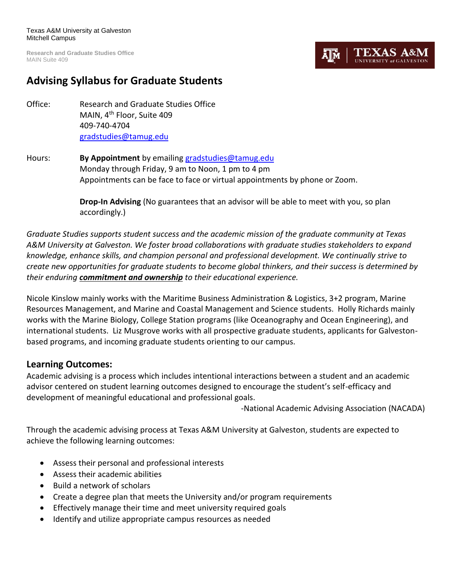**Research and Graduate Studies Office** MAIN Suite 409

# EXAS. ĀlM

# **Advising Syllabus for Graduate Students**

- Office: Research and Graduate Studies Office MAIN, 4th Floor, Suite 409 409-740-4704 [gradstudies@tamug.edu](mailto:gradstudies@tamug.edu)
- Hours: **By Appointment** by emailing [gradstudies@tamug.edu](mailto:gradstudies@tamug.edu) Monday through Friday, 9 am to Noon, 1 pm to 4 pm Appointments can be face to face or virtual appointments by phone or Zoom.

**Drop-In Advising** (No guarantees that an advisor will be able to meet with you, so plan accordingly.)

*Graduate Studies supports student success and the academic mission of the graduate community at Texas A&M University at Galveston. We foster broad collaborations with graduate studies stakeholders to expand knowledge, enhance skills, and champion personal and professional development. We continually strive to create new opportunities for graduate students to become global thinkers, and their success is determined by their enduring commitment and ownership to their educational experience.*

Nicole Kinslow mainly works with the Maritime Business Administration & Logistics, 3+2 program, Marine Resources Management, and Marine and Coastal Management and Science students. Holly Richards mainly works with the Marine Biology, College Station programs (like Oceanography and Ocean Engineering), and international students. Liz Musgrove works with all prospective graduate students, applicants for Galvestonbased programs, and incoming graduate students orienting to our campus.

# **Learning Outcomes:**

Academic advising is a process which includes intentional interactions between a student and an academic advisor centered on student learning outcomes designed to encourage the student's self-efficacy and development of meaningful educational and professional goals.

-National Academic Advising Association (NACADA)

Through the academic advising process at Texas A&M University at Galveston, students are expected to achieve the following learning outcomes:

- Assess their personal and professional interests
- Assess their academic abilities
- Build a network of scholars
- Create a degree plan that meets the University and/or program requirements
- Effectively manage their time and meet university required goals
- Identify and utilize appropriate campus resources as needed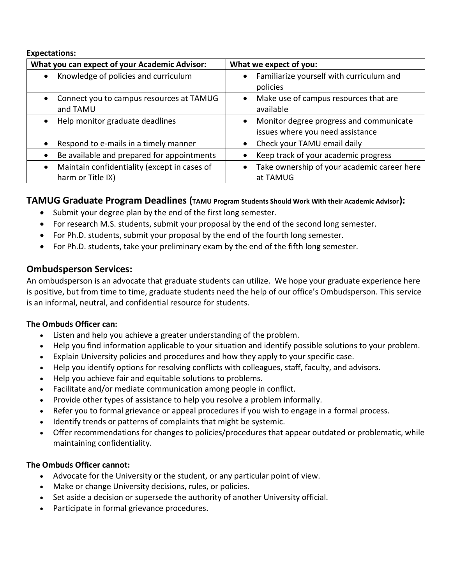#### **Expectations:**

| What you can expect of your Academic Advisor:                                  | What we expect of you:                                                      |
|--------------------------------------------------------------------------------|-----------------------------------------------------------------------------|
| Knowledge of policies and curriculum<br>$\bullet$                              | Familiarize yourself with curriculum and<br>policies                        |
| Connect you to campus resources at TAMUG<br>$\bullet$<br>and TAMU              | Make use of campus resources that are<br>available                          |
| Help monitor graduate deadlines<br>$\bullet$                                   | Monitor degree progress and communicate<br>issues where you need assistance |
| Respond to e-mails in a timely manner                                          | Check your TAMU email daily                                                 |
| Be available and prepared for appointments<br>$\bullet$                        | Keep track of your academic progress                                        |
| Maintain confidentiality (except in cases of<br>$\bullet$<br>harm or Title IX) | Take ownership of your academic career here<br>at TAMUG                     |

# **TAMUG Graduate Program Deadlines (TAMU Program Students Should Work With their Academic Advisor):**

- Submit your degree plan by the end of the first long semester.
- For research M.S. students, submit your proposal by the end of the second long semester.
- For Ph.D. students, submit your proposal by the end of the fourth long semester.
- For Ph.D. students, take your preliminary exam by the end of the fifth long semester.

# **Ombudsperson Services:**

An ombudsperson is an advocate that graduate students can utilize. We hope your graduate experience here is positive, but from time to time, graduate students need the help of our office's Ombudsperson. This service is an informal, neutral, and confidential resource for students.

### **The Ombuds Officer can:**

- Listen and help you achieve a greater understanding of the problem.
- Help you find information applicable to your situation and identify possible solutions to your problem.
- Explain University policies and procedures and how they apply to your specific case.
- Help you identify options for resolving conflicts with colleagues, staff, faculty, and advisors.
- Help you achieve fair and equitable solutions to problems.
- Facilitate and/or mediate communication among people in conflict.
- Provide other types of assistance to help you resolve a problem informally.
- Refer you to formal grievance or appeal procedures if you wish to engage in a formal process.
- Identify trends or patterns of complaints that might be systemic.
- Offer recommendations for changes to policies/procedures that appear outdated or problematic, while maintaining confidentiality.

### **The Ombuds Officer cannot:**

- Advocate for the University or the student, or any particular point of view.
- Make or change University decisions, rules, or policies.
- Set aside a decision or supersede the authority of another University official.
- Participate in formal grievance procedures.